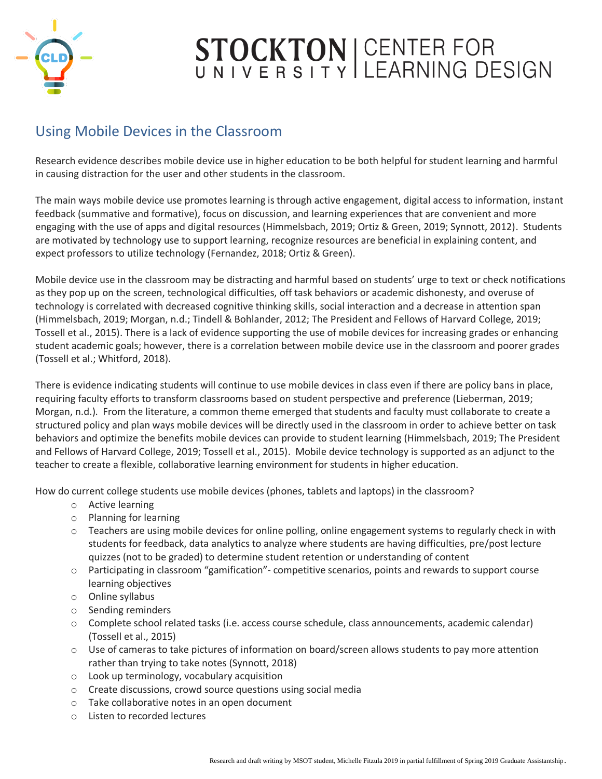

#### Using Mobile Devices in the Classroom

Research evidence describes mobile device use in higher education to be both helpful for student learning and harmful in causing distraction for the user and other students in the classroom.

The main ways mobile device use promotes learning is through active engagement, digital access to information, instant feedback (summative and formative), focus on discussion, and learning experiences that are convenient and more engaging with the use of apps and digital resources (Himmelsbach, 2019; Ortiz & Green, 2019; Synnott, 2012). Students are motivated by technology use to support learning, recognize resources are beneficial in explaining content, and expect professors to utilize technology (Fernandez, 2018; Ortiz & Green).

Mobile device use in the classroom may be distracting and harmful based on students' urge to text or check notifications as they pop up on the screen, technological difficulties, off task behaviors or academic dishonesty, and overuse of technology is correlated with decreased cognitive thinking skills, social interaction and a decrease in attention span (Himmelsbach, 2019; Morgan, n.d.; Tindell & Bohlander, 2012; The President and Fellows of Harvard College, 2019; Tossell et al., 2015). There is a lack of evidence supporting the use of mobile devices for increasing grades or enhancing student academic goals; however, there is a correlation between mobile device use in the classroom and poorer grades (Tossell et al.; Whitford, 2018).

There is evidence indicating students will continue to use mobile devices in class even if there are policy bans in place, requiring faculty efforts to transform classrooms based on student perspective and preference (Lieberman, 2019; Morgan, n.d.). From the literature, a common theme emerged that students and faculty must collaborate to create a structured policy and plan ways mobile devices will be directly used in the classroom in order to achieve better on task behaviors and optimize the benefits mobile devices can provide to student learning (Himmelsbach, 2019; The President and Fellows of Harvard College, 2019; Tossell et al., 2015). Mobile device technology is supported as an adjunct to the teacher to create a flexible, collaborative learning environment for students in higher education.

How do current college students use mobile devices (phones, tablets and laptops) in the classroom?

- o Active learning
- o Planning for learning
- o Teachers are using mobile devices for online polling, online engagement systems to regularly check in with students for feedback, data analytics to analyze where students are having difficulties, pre/post lecture quizzes (not to be graded) to determine student retention or understanding of content
- o Participating in classroom "gamification"- competitive scenarios, points and rewards to support course learning objectives
- o Online syllabus
- o Sending reminders
- o Complete school related tasks (i.e. access course schedule, class announcements, academic calendar) (Tossell et al., 2015)
- o Use of cameras to take pictures of information on board/screen allows students to pay more attention rather than trying to take notes (Synnott, 2018)
- o Look up terminology, vocabulary acquisition
- o Create discussions, crowd source questions using social media
- o Take collaborative notes in an open document
- o Listen to recorded lectures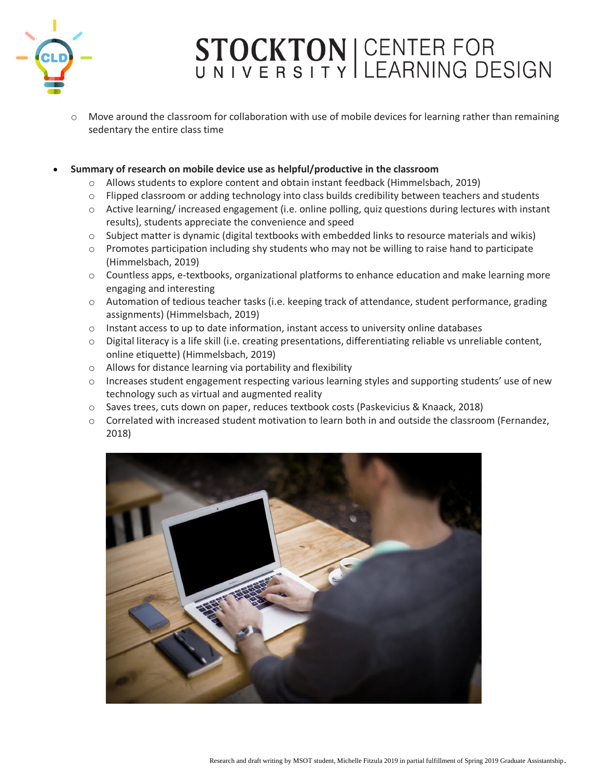

Move around the classroom for collaboration with use of mobile devices for learning rather than remaining sedentary the entire class time

#### • **Summary of research on mobile device use as helpful/productive in the classroom**

- o Allows students to explore content and obtain instant feedback (Himmelsbach, 2019)
- $\circ$  Flipped classroom or adding technology into class builds credibility between teachers and students
- o Active learning/ increased engagement (i.e. online polling, quiz questions during lectures with instant results), students appreciate the convenience and speed
- $\circ$  Subject matter is dynamic (digital textbooks with embedded links to resource materials and wikis)
- $\circ$  Promotes participation including shy students who may not be willing to raise hand to participate (Himmelsbach, 2019)
- o Countless apps, e-textbooks, organizational platforms to enhance education and make learning more engaging and interesting
- o Automation of tedious teacher tasks (i.e. keeping track of attendance, student performance, grading assignments) (Himmelsbach, 2019)
- $\circ$  Instant access to up to date information, instant access to university online databases
- $\circ$  Digital literacy is a life skill (i.e. creating presentations, differentiating reliable vs unreliable content, online etiquette) (Himmelsbach, 2019)
- o Allows for distance learning via portability and flexibility
- $\circ$  Increases student engagement respecting various learning styles and supporting students' use of new technology such as virtual and augmented reality
- o Saves trees, cuts down on paper, reduces textbook costs (Paskevicius & Knaack, 2018)
- $\circ$  Correlated with increased student motivation to learn both in and outside the classroom (Fernandez, 2018)

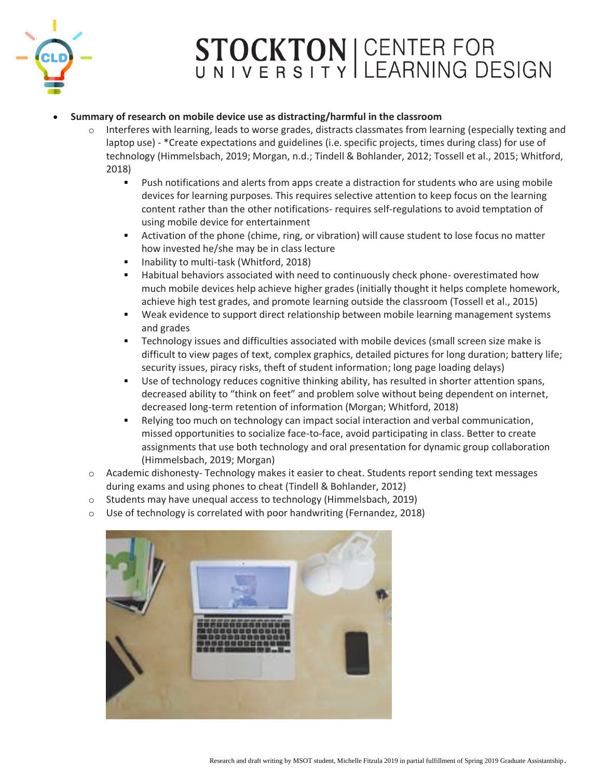

#### • **Summary of research on mobile device use as distracting/harmful in the classroom**

- o Interferes with learning, leads to worse grades, distracts classmates from learning (especially texting and laptop use) - \*Create expectations and guidelines (i.e. specific projects, times during class) for use of technology (Himmelsbach, 2019; Morgan, n.d.; Tindell & Bohlander, 2012; Tossell et al., 2015; Whitford, 2018)
	- **•** Push notifications and alerts from apps create a distraction for students who are using mobile devices for learning purposes. This requires selective attention to keep focus on the learning content rather than the other notifications- requires self-regulations to avoid temptation of using mobile device for entertainment
	- Activation of the phone (chime, ring, or vibration) will cause student to lose focus no matter how invested he/she may be in class lecture
	- Inability to multi-task (Whitford, 2018)
	- **■** Habitual behaviors associated with need to continuously check phone- overestimated how much mobile devices help achieve higher grades (initially thought it helps complete homework, achieve high test grades, and promote learning outside the classroom (Tossell et al., 2015)
	- **•** Weak evidence to support direct relationship between mobile learning management systems and grades
	- **•** Technology issues and difficulties associated with mobile devices (small screen size make is difficult to view pages of text, complex graphics, detailed pictures for long duration; battery life; security issues, piracy risks, theft of student information; long page loading delays)
	- **■** Use of technology reduces cognitive thinking ability, has resulted in shorter attention spans, decreased ability to "think on feet" and problem solve without being dependent on internet, decreased long-term retention of information (Morgan; Whitford, 2018)
	- **EXECT** Relying too much on technology can impact social interaction and verbal communication, missed opportunities to socialize face-to-face, avoid participating in class. Better to create assignments that use both technology and oral presentation for dynamic group collaboration (Himmelsbach, 2019; Morgan)
- o Academic dishonesty- Technology makes it easier to cheat. Students report sending text messages during exams and using phones to cheat (Tindell & Bohlander, 2012)
- o Students may have unequal access to technology (Himmelsbach, 2019)
- o Use of technology is correlated with poor handwriting (Fernandez, 2018)